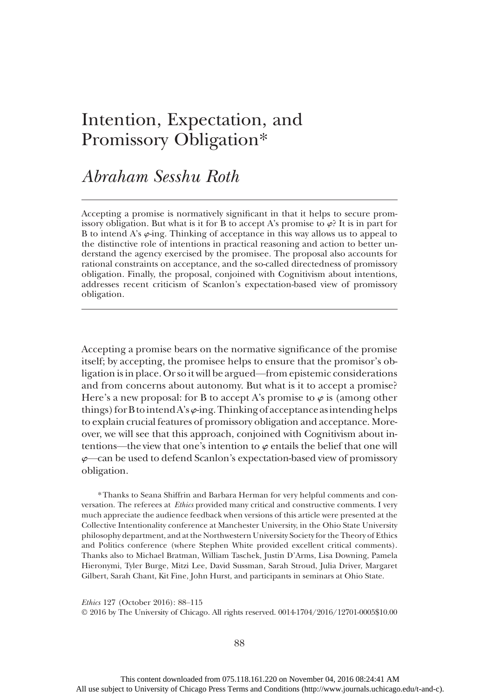# Intention, Expectation, and Promissory Obligation\*

## Abraham Sesshu Roth

Accepting a promise is normatively significant in that it helps to secure promissory obligation. But what is it for B to accept A's promise to  $\varphi$ ? It is in part for B to intend A's  $\varphi$ -ing. Thinking of acceptance in this way allows us to appeal to the distinctive role of intentions in practical reasoning and action to better understand the agency exercised by the promisee. The proposal also accounts for rational constraints on acceptance, and the so-called directedness of promissory obligation. Finally, the proposal, conjoined with Cognitivism about intentions, addresses recent criticism of Scanlon's expectation-based view of promissory obligation.

Accepting a promise bears on the normative significance of the promise itself; by accepting, the promisee helps to ensure that the promisor's obligation is in place. Or so it will be argued—from epistemic considerations and from concerns about autonomy. But what is it to accept a promise? Here's a new proposal: for B to accept A's promise to  $\varphi$  is (among other things) for B to intend A's  $\varphi$ -ing. Thinking of acceptance as intending helps to explain crucial features of promissory obligation and acceptance. Moreover, we will see that this approach, conjoined with Cognitivism about intentions—the view that one's intention to  $\varphi$  entails the belief that one will  $\varphi$ —can be used to defend Scanlon's expectation-based view of promissory obligation.

\*Thanks to Seana Shiffrin and Barbara Herman for very helpful comments and conversation. The referees at Ethics provided many critical and constructive comments. I very much appreciate the audience feedback when versions of this article were presented at the Collective Intentionality conference at Manchester University, in the Ohio State University philosophy department, and at the Northwestern University Society for the Theory of Ethics and Politics conference (where Stephen White provided excellent critical comments). Thanks also to Michael Bratman, William Taschek, Justin D'Arms, Lisa Downing, Pamela Hieronymi, Tyler Burge, Mitzi Lee, David Sussman, Sarah Stroud, Julia Driver, Margaret Gilbert, Sarah Chant, Kit Fine, John Hurst, and participants in seminars at Ohio State.

Ethics 127 (October 2016): 88–115

© 2016 by The University of Chicago. All rights reserved. 0014-1704/2016/12701-0005\$10.00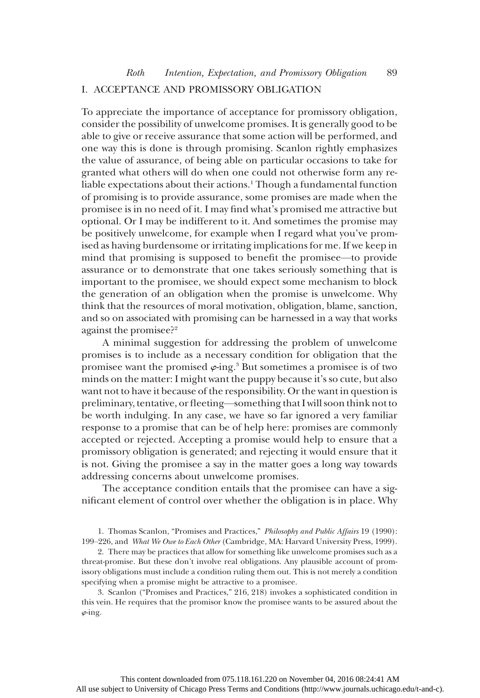## I. ACCEPTANCE AND PROMISSORY OBLIGATION

To appreciate the importance of acceptance for promissory obligation, consider the possibility of unwelcome promises. It is generally good to be able to give or receive assurance that some action will be performed, and one way this is done is through promising. Scanlon rightly emphasizes the value of assurance, of being able on particular occasions to take for granted what others will do when one could not otherwise form any reliable expectations about their actions.<sup>1</sup> Though a fundamental function of promising is to provide assurance, some promises are made when the promisee is in no need of it. I may find what's promised me attractive but optional. Or I may be indifferent to it. And sometimes the promise may be positively unwelcome, for example when I regard what you've promised as having burdensome or irritating implications for me. If we keep in mind that promising is supposed to benefit the promisee—to provide assurance or to demonstrate that one takes seriously something that is important to the promisee, we should expect some mechanism to block the generation of an obligation when the promise is unwelcome. Why think that the resources of moral motivation, obligation, blame, sanction, and so on associated with promising can be harnessed in a way that works against the promisee?<sup>2</sup>

A minimal suggestion for addressing the problem of unwelcome promises is to include as a necessary condition for obligation that the promisee want the promised  $\varphi$ -ing.<sup>3</sup> But sometimes a promisee is of two minds on the matter: I might want the puppy because it's so cute, but also want not to have it because of the responsibility. Or the want in question is preliminary, tentative, or fleeting—something that I will soon think not to be worth indulging. In any case, we have so far ignored a very familiar response to a promise that can be of help here: promises are commonly accepted or rejected. Accepting a promise would help to ensure that a promissory obligation is generated; and rejecting it would ensure that it is not. Giving the promisee a say in the matter goes a long way towards addressing concerns about unwelcome promises.

The acceptance condition entails that the promisee can have a significant element of control over whether the obligation is in place. Why

1. Thomas Scanlon, "Promises and Practices," Philosophy and Public Affairs 19 (1990): 199–226, and What We Owe to Each Other (Cambridge, MA: Harvard University Press, 1999).

2. There may be practices that allow for something like unwelcome promises such as a threat-promise. But these don't involve real obligations. Any plausible account of promissory obligations must include a condition ruling them out. This is not merely a condition specifying when a promise might be attractive to a promisee.

3. Scanlon ("Promises and Practices," 216, 218) invokes a sophisticated condition in this vein. He requires that the promisor know the promisee wants to be assured about the  $\varphi$ -ing.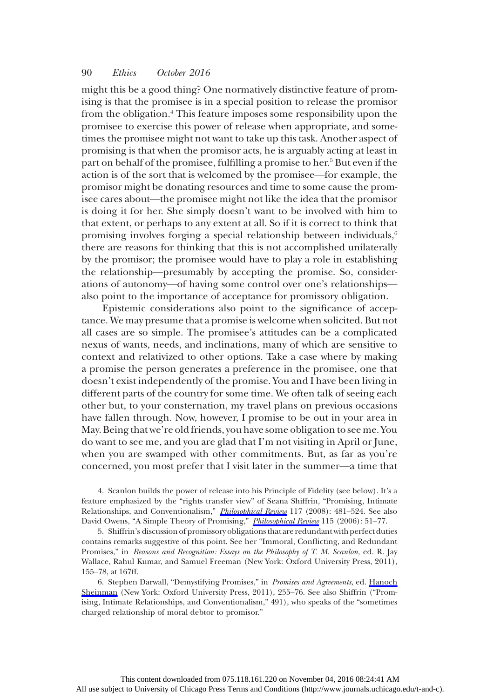might this be a good thing? One normatively distinctive feature of promising is that the promisee is in a special position to release the promisor from the obligation.4 This feature imposes some responsibility upon the promisee to exercise this power of release when appropriate, and sometimes the promisee might not want to take up this task. Another aspect of promising is that when the promisor acts, he is arguably acting at least in part on behalf of the promisee, fulfilling a promise to her.<sup>5</sup> But even if the action is of the sort that is welcomed by the promisee—for example, the promisor might be donating resources and time to some cause the promisee cares about—the promisee might not like the idea that the promisor is doing it for her. She simply doesn't want to be involved with him to that extent, or perhaps to any extent at all. So if it is correct to think that promising involves forging a special relationship between individuals,<sup>6</sup> there are reasons for thinking that this is not accomplished unilaterally by the promisor; the promisee would have to play a role in establishing the relationship—presumably by accepting the promise. So, considerations of autonomy—of having some control over one's relationships also point to the importance of acceptance for promissory obligation.

Epistemic considerations also point to the significance of acceptance. We may presume that a promise is welcome when solicited. But not all cases are so simple. The promisee's attitudes can be a complicated nexus of wants, needs, and inclinations, many of which are sensitive to context and relativized to other options. Take a case where by making a promise the person generates a preference in the promisee, one that doesn't exist independently of the promise. You and I have been living in different parts of the country for some time. We often talk of seeing each other but, to your consternation, my travel plans on previous occasions have fallen through. Now, however, I promise to be out in your area in May. Being that we're old friends, you have some obligation to see me. You do want to see me, and you are glad that I'm not visiting in April or June, when you are swamped with other commitments. But, as far as you're concerned, you most prefer that I visit later in the summer—a time that

4. Scanlon builds the power of release into his Principle of Fidelity (see below). It's a feature emphasized by the "rights transfer view" of Seana Shiffrin, "Promising, Intimate Relationships, and Conventionalism," *[Philosophical Review](http://www.journals.uchicago.edu/action/showLinks?crossref=10.1215%2F00318108-2008-014)* 117 (2008): 481–524. See also David Owens, "A Simple Theory of Promising," *[Philosophical Review](http://www.journals.uchicago.edu/action/showLinks?crossref=10.1215%2F00318108-115-1-51)* 115 (2006): 51-77.

5. Shiffrin's discussion of promissory obligations that are redundant with perfect duties contains remarks suggestive of this point. See her "Immoral, Conflicting, and Redundant Promises," in Reasons and Recognition: Essays on the Philosophy of T. M. Scanlon, ed. R. Jay Wallace, Rahul Kumar, and Samuel Freeman (New York: Oxford University Press, 2011), 155–78, at 167ff.

6. Stephen Darwall, "Demystifying Promises," in Promises and Agreements, ed. [Hanoch](http://www.journals.uchicago.edu/action/showLinks?crossref=10.1093%2Facprof%3Aoso%2F9780195377958.003.0011) [Sheinman](http://www.journals.uchicago.edu/action/showLinks?crossref=10.1093%2Facprof%3Aoso%2F9780195377958.003.0011) (New York: Oxford University Press, 2011), 255–76. See also Shiffrin ("Promising, Intimate Relationships, and Conventionalism," 491), who speaks of the "sometimes charged relationship of moral debtor to promisor."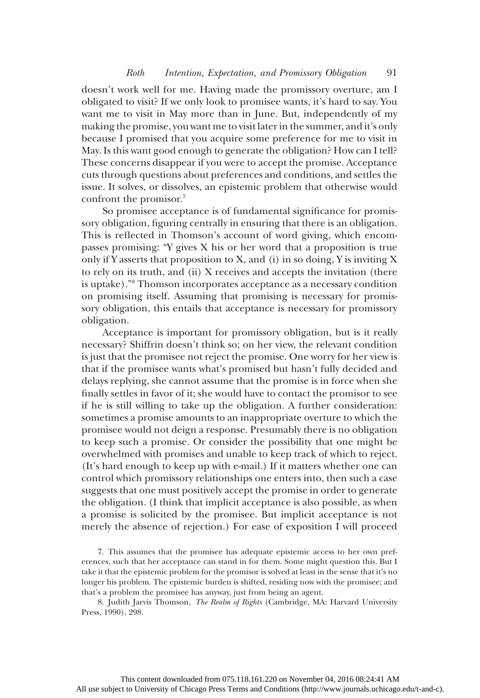doesn't work well for me. Having made the promissory overture, am I obligated to visit? If we only look to promisee wants, it's hard to say. You want me to visit in May more than in June. But, independently of my making the promise, you want me to visit later in the summer, and it's only because I promised that you acquire some preference for me to visit in May. Is this want good enough to generate the obligation? How can I tell? These concerns disappear if you were to accept the promise. Acceptance cuts through questions about preferences and conditions, and settles the issue. It solves, or dissolves, an epistemic problem that otherwise would confront the promisor.7

So promisee acceptance is of fundamental significance for promissory obligation, figuring centrally in ensuring that there is an obligation. This is reflected in Thomson's account of word giving, which encompasses promising: "Y gives X his or her word that a proposition is true only if Y asserts that proposition to X, and (i) in so doing, Y is inviting X to rely on its truth, and (ii) X receives and accepts the invitation (there is uptake)."8 Thomson incorporates acceptance as a necessary condition on promising itself. Assuming that promising is necessary for promissory obligation, this entails that acceptance is necessary for promissory obligation.

Acceptance is important for promissory obligation, but is it really necessary? Shiffrin doesn't think so; on her view, the relevant condition is just that the promisee not reject the promise. One worry for her view is that if the promisee wants what's promised but hasn't fully decided and delays replying, she cannot assume that the promise is in force when she finally settles in favor of it; she would have to contact the promisor to see if he is still willing to take up the obligation. A further consideration: sometimes a promise amounts to an inappropriate overture to which the promisee would not deign a response. Presumably there is no obligation to keep such a promise. Or consider the possibility that one might be overwhelmed with promises and unable to keep track of which to reject. (It's hard enough to keep up with e-mail.) If it matters whether one can control which promissory relationships one enters into, then such a case suggests that one must positively accept the promise in order to generate the obligation. (I think that implicit acceptance is also possible, as when a promise is solicited by the promisee. But implicit acceptance is not merely the absence of rejection.) For ease of exposition I will proceed

7. This assumes that the promisee has adequate epistemic access to her own preferences, such that her acceptance can stand in for them. Some might question this. But I take it that the epistemic problem for the promisor is solved at least in the sense that it's no longer his problem. The epistemic burden is shifted, residing now with the promisee; and that's a problem the promisee has anyway, just from being an agent.

8. Judith Jarvis Thomson, The Realm of Rights (Cambridge, MA: Harvard University Press, 1990), 298.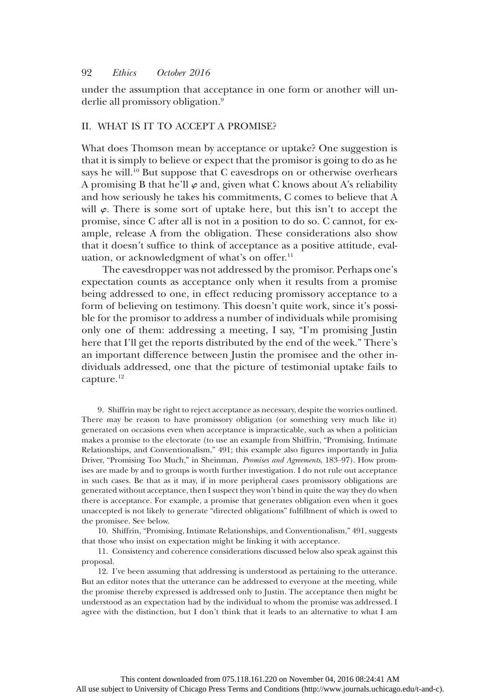under the assumption that acceptance in one form or another will underlie all promissory obligation.<sup>9</sup>

## II. WHAT IS IT TO ACCEPT A PROMISE?

What does Thomson mean by acceptance or uptake? One suggestion is that it is simply to believe or expect that the promisor is going to do as he says he will.<sup>10</sup> But suppose that C eavesdrops on or otherwise overhears A promising B that he'll  $\varphi$  and, given what C knows about A's reliability and how seriously he takes his commitments, C comes to believe that A will  $\varphi$ . There is some sort of uptake here, but this isn't to accept the promise, since C after all is not in a position to do so. C cannot, for example, release A from the obligation. These considerations also show that it doesn't suffice to think of acceptance as a positive attitude, evaluation, or acknowledgment of what's on offer.<sup>11</sup>

The eavesdropper was not addressed by the promisor. Perhaps one's expectation counts as acceptance only when it results from a promise being addressed to one, in effect reducing promissory acceptance to a form of believing on testimony. This doesn't quite work, since it's possible for the promisor to address a number of individuals while promising only one of them: addressing a meeting, I say, "I'm promising Justin here that I'll get the reports distributed by the end of the week." There's an important difference between Justin the promisee and the other individuals addressed, one that the picture of testimonial uptake fails to capture.<sup>12</sup>

9. Shiffrin may be right to reject acceptance as necessary, despite the worries outlined. There may be reason to have promissory obligation (or something very much like it) generated on occasions even when acceptance is impracticable, such as when a politician makes a promise to the electorate (to use an example from Shiffrin, "Promising, Intimate Relationships, and Conventionalism," 491; this example also figures importantly in Julia Driver, "Promising Too Much," in Sheinman, Promises and Agreements, 183–97). How promises are made by and to groups is worth further investigation. I do not rule out acceptance in such cases. Be that as it may, if in more peripheral cases promissory obligations are generated without acceptance, then I suspect they won't bind in quite the way they do when there is acceptance. For example, a promise that generates obligation even when it goes unaccepted is not likely to generate "directed obligations" fulfillment of which is owed to the promisee. See below.

10. Shiffrin, "Promising, Intimate Relationships, and Conventionalism," 491, suggests that those who insist on expectation might be linking it with acceptance.

11. Consistency and coherence considerations discussed below also speak against this proposal.

12. I've been assuming that addressing is understood as pertaining to the utterance. But an editor notes that the utterance can be addressed to everyone at the meeting, while the promise thereby expressed is addressed only to Justin. The acceptance then might be understood as an expectation had by the individual to whom the promise was addressed. I agree with the distinction, but I don't think that it leads to an alternative to what I am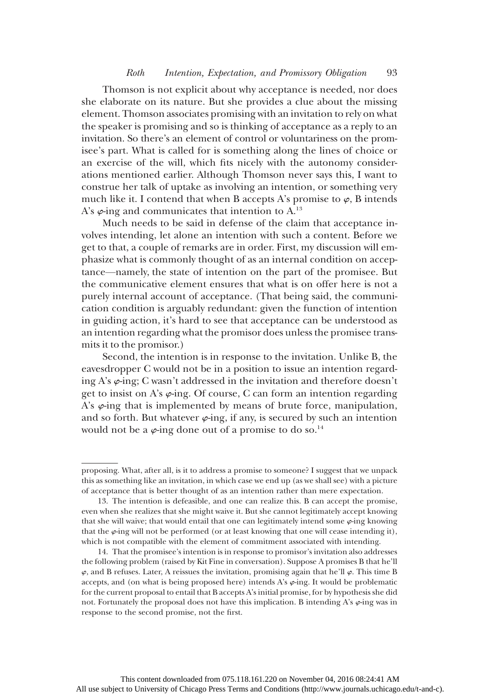## Roth Intention, Expectation, and Promissory Obligation 93

Thomson is not explicit about why acceptance is needed, nor does she elaborate on its nature. But she provides a clue about the missing element. Thomson associates promising with an invitation to rely on what the speaker is promising and so is thinking of acceptance as a reply to an invitation. So there's an element of control or voluntariness on the promisee's part. What is called for is something along the lines of choice or an exercise of the will, which fits nicely with the autonomy considerations mentioned earlier. Although Thomson never says this, I want to construe her talk of uptake as involving an intention, or something very much like it. I contend that when B accepts A's promise to  $\varphi$ , B intends A's  $\varphi$ -ing and communicates that intention to A.<sup>13</sup>

Much needs to be said in defense of the claim that acceptance involves intending, let alone an intention with such a content. Before we get to that, a couple of remarks are in order. First, my discussion will emphasize what is commonly thought of as an internal condition on acceptance—namely, the state of intention on the part of the promisee. But the communicative element ensures that what is on offer here is not a purely internal account of acceptance. (That being said, the communication condition is arguably redundant: given the function of intention in guiding action, it's hard to see that acceptance can be understood as an intention regarding what the promisor does unless the promisee transmits it to the promisor.)

Second, the intention is in response to the invitation. Unlike B, the eavesdropper C would not be in a position to issue an intention regarding A's  $\varphi$ -ing; C wasn't addressed in the invitation and therefore doesn't get to insist on A's  $\varphi$ -ing. Of course, C can form an intention regarding A's  $\varphi$ -ing that is implemented by means of brute force, manipulation, and so forth. But whatever  $\varphi$ -ing, if any, is secured by such an intention would not be a  $\varphi$ -ing done out of a promise to do so.<sup>14</sup>

proposing. What, after all, is it to address a promise to someone? I suggest that we unpack this as something like an invitation, in which case we end up (as we shall see) with a picture of acceptance that is better thought of as an intention rather than mere expectation.

<sup>13.</sup> The intention is defeasible, and one can realize this. B can accept the promise, even when she realizes that she might waive it. But she cannot legitimately accept knowing that she will waive; that would entail that one can legitimately intend some  $\varphi$ -ing knowing that the  $\varphi$ -ing will not be performed (or at least knowing that one will cease intending it), which is not compatible with the element of commitment associated with intending.

<sup>14.</sup> That the promisee's intention is in response to promisor's invitation also addresses the following problem (raised by Kit Fine in conversation). Suppose A promises B that he'll  $\varphi$ , and B refuses. Later, A reissues the invitation, promising again that he'll  $\varphi$ . This time B accepts, and (on what is being proposed here) intends A's  $\varphi$ -ing. It would be problematic for the current proposal to entail that B accepts A's initial promise, for by hypothesis she did not. Fortunately the proposal does not have this implication. B intending A's  $\varphi$ -ing was in response to the second promise, not the first.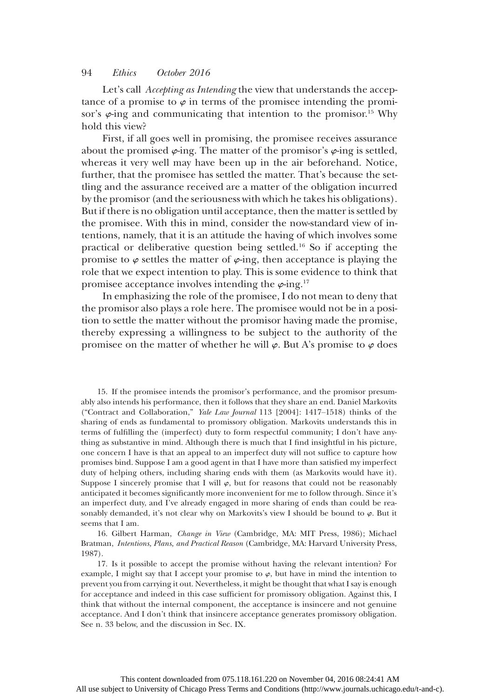Let's call *Accepting as Intending* the view that understands the acceptance of a promise to  $\varphi$  in terms of the promisee intending the promisor's  $\varphi$ -ing and communicating that intention to the promisor.<sup>15</sup> Why hold this view?

First, if all goes well in promising, the promisee receives assurance about the promised  $\varphi$ -ing. The matter of the promisor's  $\varphi$ -ing is settled, whereas it very well may have been up in the air beforehand. Notice, further, that the promisee has settled the matter. That's because the settling and the assurance received are a matter of the obligation incurred by the promisor (and the seriousness with which he takes his obligations). But if there is no obligation until acceptance, then the matter is settled by the promisee. With this in mind, consider the now-standard view of intentions, namely, that it is an attitude the having of which involves some practical or deliberative question being settled.16 So if accepting the promise to  $\varphi$  settles the matter of  $\varphi$ -ing, then acceptance is playing the role that we expect intention to play. This is some evidence to think that promisee acceptance involves intending the  $\varphi$ -ing.<sup>17</sup>

In emphasizing the role of the promisee, I do not mean to deny that the promisor also plays a role here. The promisee would not be in a position to settle the matter without the promisor having made the promise, thereby expressing a willingness to be subject to the authority of the promisee on the matter of whether he will  $\varphi$ . But A's promise to  $\varphi$  does

15. If the promisee intends the promisor's performance, and the promisor presumably also intends his performance, then it follows that they share an end. Daniel Markovits ("Contract and Collaboration," Yale Law Journal 113 [2004]: 1417–1518) thinks of the sharing of ends as fundamental to promissory obligation. Markovits understands this in terms of fulfilling the (imperfect) duty to form respectful community; I don't have anything as substantive in mind. Although there is much that I find insightful in his picture, one concern I have is that an appeal to an imperfect duty will not suffice to capture how promises bind. Suppose I am a good agent in that I have more than satisfied my imperfect duty of helping others, including sharing ends with them (as Markovits would have it). Suppose I sincerely promise that I will  $\varphi$ , but for reasons that could not be reasonably anticipated it becomes significantly more inconvenient for me to follow through. Since it's an imperfect duty, and I've already engaged in more sharing of ends than could be reasonably demanded, it's not clear why on Markovits's view I should be bound to  $\varphi$ . But it seems that I am.

16. Gilbert Harman, Change in View (Cambridge, MA: MIT Press, 1986); Michael Bratman, Intentions, Plans, and Practical Reason (Cambridge, MA: Harvard University Press, 1987).

17. Is it possible to accept the promise without having the relevant intention? For example, I might say that I accept your promise to  $\varphi$ , but have in mind the intention to prevent you from carrying it out. Nevertheless, it might be thought that what I say is enough for acceptance and indeed in this case sufficient for promissory obligation. Against this, I think that without the internal component, the acceptance is insincere and not genuine acceptance. And I don't think that insincere acceptance generates promissory obligation. See n. 33 below, and the discussion in Sec. IX.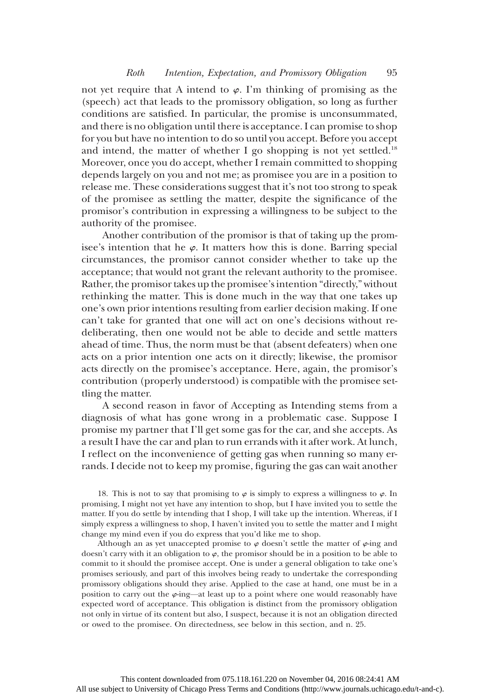not yet require that A intend to  $\varphi$ . I'm thinking of promising as the (speech) act that leads to the promissory obligation, so long as further conditions are satisfied. In particular, the promise is unconsummated, and there is no obligation until there is acceptance. I can promise to shop for you but have no intention to do so until you accept. Before you accept and intend, the matter of whether I go shopping is not yet settled.<sup>18</sup> Moreover, once you do accept, whether I remain committed to shopping depends largely on you and not me; as promisee you are in a position to release me. These considerations suggest that it's not too strong to speak of the promisee as settling the matter, despite the significance of the promisor's contribution in expressing a willingness to be subject to the authority of the promisee.

Another contribution of the promisor is that of taking up the promisee's intention that he  $\varphi$ . It matters how this is done. Barring special circumstances, the promisor cannot consider whether to take up the acceptance; that would not grant the relevant authority to the promisee. Rather, the promisor takes up the promisee's intention "directly," without rethinking the matter. This is done much in the way that one takes up one's own prior intentions resulting from earlier decision making. If one can't take for granted that one will act on one's decisions without redeliberating, then one would not be able to decide and settle matters ahead of time. Thus, the norm must be that (absent defeaters) when one acts on a prior intention one acts on it directly; likewise, the promisor acts directly on the promisee's acceptance. Here, again, the promisor's contribution (properly understood) is compatible with the promisee settling the matter.

A second reason in favor of Accepting as Intending stems from a diagnosis of what has gone wrong in a problematic case. Suppose I promise my partner that I'll get some gas for the car, and she accepts. As a result I have the car and plan to run errands with it after work. At lunch, I reflect on the inconvenience of getting gas when running so many errands. I decide not to keep my promise, figuring the gas can wait another

18. This is not to say that promising to  $\varphi$  is simply to express a willingness to  $\varphi$ . In promising, I might not yet have any intention to shop, but I have invited you to settle the matter. If you do settle by intending that I shop, I will take up the intention. Whereas, if I simply express a willingness to shop, I haven't invited you to settle the matter and I might change my mind even if you do express that you'd like me to shop.

Although an as yet unaccepted promise to  $\varphi$  doesn't settle the matter of  $\varphi$ -ing and doesn't carry with it an obligation to  $\varphi$ , the promisor should be in a position to be able to commit to it should the promisee accept. One is under a general obligation to take one's promises seriously, and part of this involves being ready to undertake the corresponding promissory obligations should they arise. Applied to the case at hand, one must be in a position to carry out the  $\varphi$ -ing—at least up to a point where one would reasonably have expected word of acceptance. This obligation is distinct from the promissory obligation not only in virtue of its content but also, I suspect, because it is not an obligation directed or owed to the promisee. On directedness, see below in this section, and n. 25.

All use subject to University of Chicago Press Terms and Conditions (http://www.journals.uchicago.edu/t-and-c).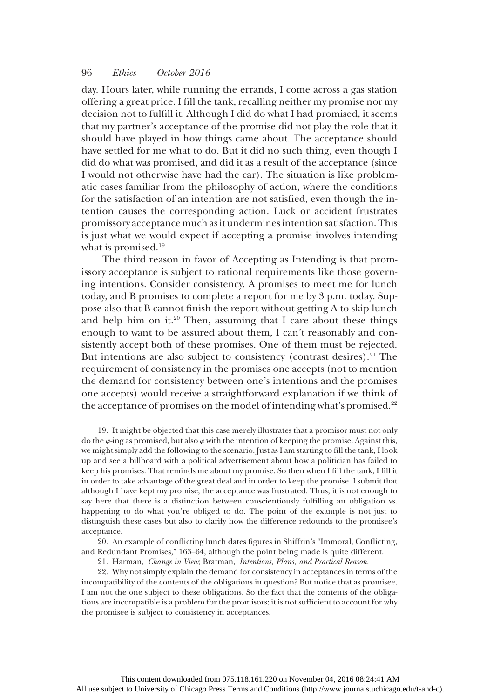day. Hours later, while running the errands, I come across a gas station offering a great price. I fill the tank, recalling neither my promise nor my decision not to fulfill it. Although I did do what I had promised, it seems that my partner's acceptance of the promise did not play the role that it should have played in how things came about. The acceptance should have settled for me what to do. But it did no such thing, even though I did do what was promised, and did it as a result of the acceptance (since I would not otherwise have had the car). The situation is like problematic cases familiar from the philosophy of action, where the conditions for the satisfaction of an intention are not satisfied, even though the intention causes the corresponding action. Luck or accident frustrates promissory acceptance much as it undermines intention satisfaction. This is just what we would expect if accepting a promise involves intending what is promised.<sup>19</sup>

The third reason in favor of Accepting as Intending is that promissory acceptance is subject to rational requirements like those governing intentions. Consider consistency. A promises to meet me for lunch today, and B promises to complete a report for me by 3 p.m. today. Suppose also that B cannot finish the report without getting A to skip lunch and help him on it. $20$  Then, assuming that I care about these things enough to want to be assured about them, I can't reasonably and consistently accept both of these promises. One of them must be rejected. But intentions are also subject to consistency (contrast desires). $21$  The requirement of consistency in the promises one accepts (not to mention the demand for consistency between one's intentions and the promises one accepts) would receive a straightforward explanation if we think of the acceptance of promises on the model of intending what's promised.<sup>22</sup>

19. It might be objected that this case merely illustrates that a promisor must not only do the  $\varphi$ -ing as promised, but also  $\varphi$  with the intention of keeping the promise. Against this, we might simply add the following to the scenario. Just as I am starting to fill the tank, I look up and see a billboard with a political advertisement about how a politician has failed to keep his promises. That reminds me about my promise. So then when I fill the tank, I fill it in order to take advantage of the great deal and in order to keep the promise. I submit that although I have kept my promise, the acceptance was frustrated. Thus, it is not enough to say here that there is a distinction between conscientiously fulfilling an obligation vs. happening to do what you're obliged to do. The point of the example is not just to distinguish these cases but also to clarify how the difference redounds to the promisee's acceptance.

20. An example of conflicting lunch dates figures in Shiffrin's "Immoral, Conflicting, and Redundant Promises," 163–64, although the point being made is quite different.

21. Harman, Change in View; Bratman, Intentions, Plans, and Practical Reason.

22. Why not simply explain the demand for consistency in acceptances in terms of the incompatibility of the contents of the obligations in question? But notice that as promisee, I am not the one subject to these obligations. So the fact that the contents of the obligations are incompatible is a problem for the promisors; it is not sufficient to account for why the promisee is subject to consistency in acceptances.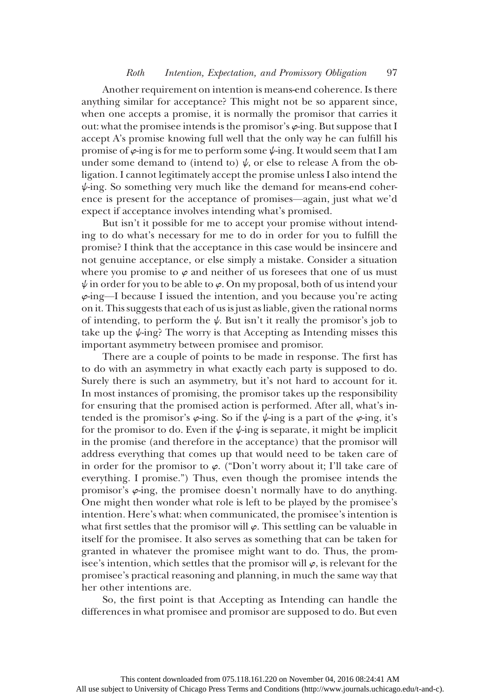## Roth Intention, Expectation, and Promissory Obligation 97

Another requirement on intention is means-end coherence. Is there anything similar for acceptance? This might not be so apparent since, when one accepts a promise, it is normally the promisor that carries it out: what the promisee intends is the promisor's  $\varphi$ -ing. But suppose that I accept A's promise knowing full well that the only way he can fulfill his promise of  $\varphi$ -ing is for me to perform some  $\psi$ -ing. It would seem that I am under some demand to (intend to)  $\psi$ , or else to release A from the obligation. I cannot legitimately accept the promise unless I also intend the  $\psi$ -ing. So something very much like the demand for means-end coherence is present for the acceptance of promises—again, just what we'd expect if acceptance involves intending what's promised.

But isn't it possible for me to accept your promise without intending to do what's necessary for me to do in order for you to fulfill the promise? I think that the acceptance in this case would be insincere and not genuine acceptance, or else simply a mistake. Consider a situation where you promise to  $\varphi$  and neither of us foresees that one of us must  $\psi$  in order for you to be able to  $\varphi$ . On my proposal, both of us intend your  $\varphi$ -ing—I because I issued the intention, and you because you're acting on it. This suggests that each of us is just as liable, given the rational norms of intending, to perform the  $\psi$ . But isn't it really the promisor's job to take up the  $\psi$ -ing? The worry is that Accepting as Intending misses this important asymmetry between promisee and promisor.

There are a couple of points to be made in response. The first has to do with an asymmetry in what exactly each party is supposed to do. Surely there is such an asymmetry, but it's not hard to account for it. In most instances of promising, the promisor takes up the responsibility for ensuring that the promised action is performed. After all, what's intended is the promisor's  $\varphi$ -ing. So if the  $\psi$ -ing is a part of the  $\varphi$ -ing, it's for the promisor to do. Even if the  $\psi$ -ing is separate, it might be implicit in the promise (and therefore in the acceptance) that the promisor will address everything that comes up that would need to be taken care of in order for the promisor to  $\varphi$ . ("Don't worry about it; I'll take care of everything. I promise.") Thus, even though the promisee intends the promisor's  $\varphi$ -ing, the promisee doesn't normally have to do anything. One might then wonder what role is left to be played by the promisee's intention. Here's what: when communicated, the promisee's intention is what first settles that the promisor will  $\varphi$ . This settling can be valuable in itself for the promisee. It also serves as something that can be taken for granted in whatever the promisee might want to do. Thus, the promisee's intention, which settles that the promisor will  $\varphi$ , is relevant for the promisee's practical reasoning and planning, in much the same way that her other intentions are.

So, the first point is that Accepting as Intending can handle the differences in what promisee and promisor are supposed to do. But even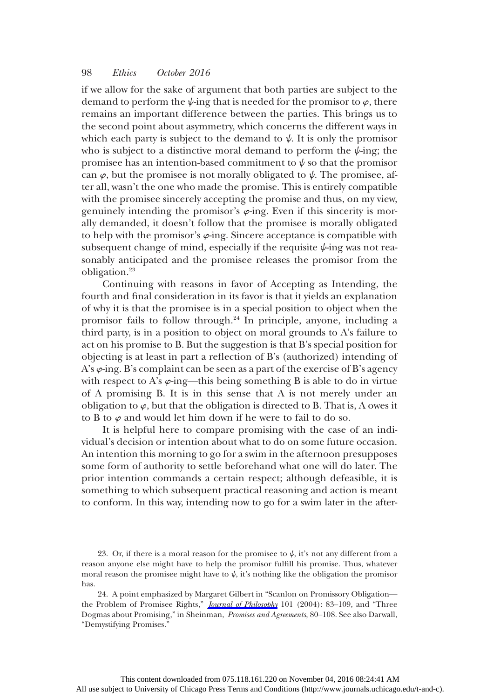if we allow for the sake of argument that both parties are subject to the demand to perform the  $\psi$ -ing that is needed for the promisor to  $\varphi$ , there remains an important difference between the parties. This brings us to the second point about asymmetry, which concerns the different ways in which each party is subject to the demand to  $\psi$ . It is only the promisor who is subject to a distinctive moral demand to perform the  $\psi$ -ing; the promisee has an intention-based commitment to  $\psi$  so that the promisor can  $\varphi$ , but the promisee is not morally obligated to  $\psi$ . The promisee, after all, wasn't the one who made the promise. This is entirely compatible with the promisee sincerely accepting the promise and thus, on my view, genuinely intending the promisor's  $\varphi$ -ing. Even if this sincerity is morally demanded, it doesn't follow that the promisee is morally obligated to help with the promisor's  $\varphi$ -ing. Sincere acceptance is compatible with subsequent change of mind, especially if the requisite  $\psi$ -ing was not reasonably anticipated and the promisee releases the promisor from the obligation.23

Continuing with reasons in favor of Accepting as Intending, the fourth and final consideration in its favor is that it yields an explanation of why it is that the promisee is in a special position to object when the promisor fails to follow through.24 In principle, anyone, including a third party, is in a position to object on moral grounds to A's failure to act on his promise to B. But the suggestion is that B's special position for objecting is at least in part a reflection of B's (authorized) intending of A's  $\varphi$ -ing. B's complaint can be seen as a part of the exercise of B's agency with respect to A's  $\varphi$ -ing—this being something B is able to do in virtue of A promising B. It is in this sense that A is not merely under an obligation to  $\varphi$ , but that the obligation is directed to B. That is, A owes it to B to  $\varphi$  and would let him down if he were to fail to do so.

It is helpful here to compare promising with the case of an individual's decision or intention about what to do on some future occasion. An intention this morning to go for a swim in the afternoon presupposes some form of authority to settle beforehand what one will do later. The prior intention commands a certain respect; although defeasible, it is something to which subsequent practical reasoning and action is meant to conform. In this way, intending now to go for a swim later in the after-

<sup>23.</sup> Or, if there is a moral reason for the promisee to  $\psi$ , it's not any different from a reason anyone else might have to help the promisor fulfill his promise. Thus, whatever moral reason the promisee might have to  $\psi$ , it's nothing like the obligation the promisor has.

<sup>24.</sup> A point emphasized by Margaret Gilbert in "Scanlon on Promissory Obligation the Problem of Promisee Rights," *[Journal of Philosophy](http://www.journals.uchicago.edu/action/showLinks?crossref=10.5840%2Fjphil200410126)* 101 (2004): 83-109, and "Three Dogmas about Promising," in Sheinman, Promises and Agreements, 80–108. See also Darwall, "Demystifying Promises."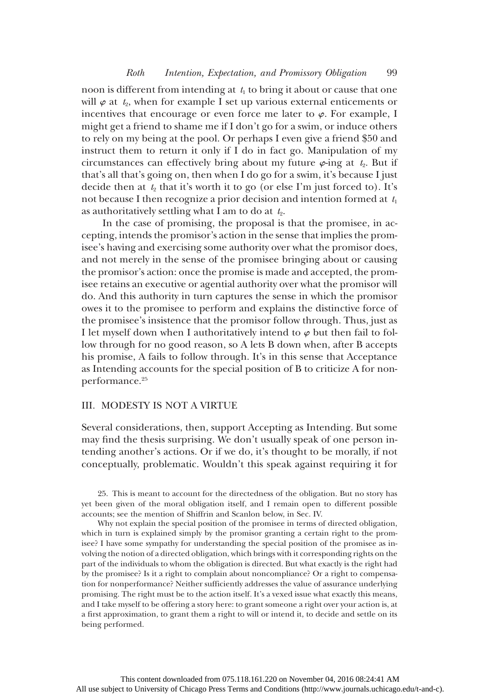noon is different from intending at  $t_1$  to bring it about or cause that one will  $\varphi$  at  $t_2$ , when for example I set up various external enticements or incentives that encourage or even force me later to  $\varphi$ . For example, I might get a friend to shame me if I don't go for a swim, or induce others to rely on my being at the pool. Or perhaps I even give a friend \$50 and instruct them to return it only if I do in fact go. Manipulation of my circumstances can effectively bring about my future  $\varphi$ -ing at  $t_2$ . But if that's all that's going on, then when I do go for a swim, it's because I just decide then at  $t_2$  that it's worth it to go (or else I'm just forced to). It's not because I then recognize a prior decision and intention formed at  $t_1$ as authoritatively settling what I am to do at  $t_2$ .

In the case of promising, the proposal is that the promisee, in accepting, intends the promisor's action in the sense that implies the promisee's having and exercising some authority over what the promisor does, and not merely in the sense of the promisee bringing about or causing the promisor's action: once the promise is made and accepted, the promisee retains an executive or agential authority over what the promisor will do. And this authority in turn captures the sense in which the promisor owes it to the promisee to perform and explains the distinctive force of the promisee's insistence that the promisor follow through. Thus, just as I let myself down when I authoritatively intend to  $\varphi$  but then fail to follow through for no good reason, so A lets B down when, after B accepts his promise, A fails to follow through. It's in this sense that Acceptance as Intending accounts for the special position of B to criticize A for nonperformance.<sup>25</sup>

## III. MODESTY IS NOT A VIRTUE

Several considerations, then, support Accepting as Intending. But some may find the thesis surprising. We don't usually speak of one person intending another's actions. Or if we do, it's thought to be morally, if not conceptually, problematic. Wouldn't this speak against requiring it for

25. This is meant to account for the directedness of the obligation. But no story has yet been given of the moral obligation itself, and I remain open to different possible accounts; see the mention of Shiffrin and Scanlon below, in Sec. IV.

Why not explain the special position of the promisee in terms of directed obligation, which in turn is explained simply by the promisor granting a certain right to the promisee? I have some sympathy for understanding the special position of the promisee as involving the notion of a directed obligation, which brings with it corresponding rights on the part of the individuals to whom the obligation is directed. But what exactly is the right had by the promisee? Is it a right to complain about noncompliance? Or a right to compensation for nonperformance? Neither sufficiently addresses the value of assurance underlying promising. The right must be to the action itself. It's a vexed issue what exactly this means, and I take myself to be offering a story here: to grant someone a right over your action is, at a first approximation, to grant them a right to will or intend it, to decide and settle on its being performed.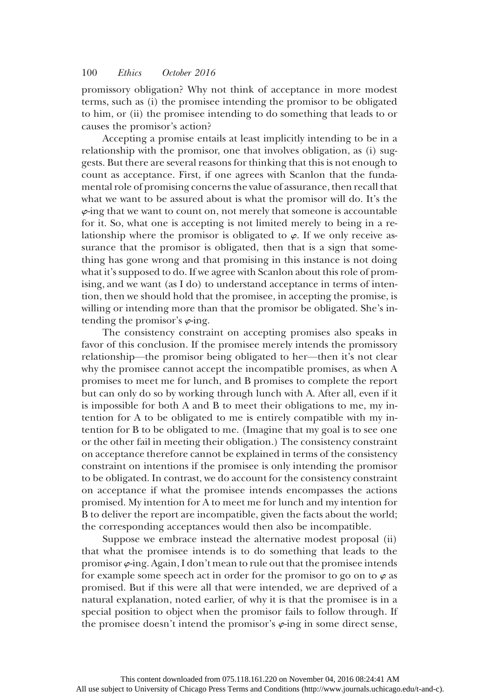promissory obligation? Why not think of acceptance in more modest terms, such as (i) the promisee intending the promisor to be obligated to him, or (ii) the promisee intending to do something that leads to or causes the promisor's action?

Accepting a promise entails at least implicitly intending to be in a relationship with the promisor, one that involves obligation, as (i) suggests. But there are several reasons for thinking that this is not enough to count as acceptance. First, if one agrees with Scanlon that the fundamental role of promising concerns the value of assurance, then recall that what we want to be assured about is what the promisor will do. It's the  $\varphi$ -ing that we want to count on, not merely that someone is accountable for it. So, what one is accepting is not limited merely to being in a relationship where the promisor is obligated to  $\varphi$ . If we only receive assurance that the promisor is obligated, then that is a sign that something has gone wrong and that promising in this instance is not doing what it's supposed to do. If we agree with Scanlon about this role of promising, and we want (as I do) to understand acceptance in terms of intention, then we should hold that the promisee, in accepting the promise, is willing or intending more than that the promisor be obligated. She's intending the promisor's  $\varphi$ -ing.

The consistency constraint on accepting promises also speaks in favor of this conclusion. If the promisee merely intends the promissory relationship—the promisor being obligated to her—then it's not clear why the promisee cannot accept the incompatible promises, as when A promises to meet me for lunch, and B promises to complete the report but can only do so by working through lunch with A. After all, even if it is impossible for both A and B to meet their obligations to me, my intention for A to be obligated to me is entirely compatible with my intention for B to be obligated to me. (Imagine that my goal is to see one or the other fail in meeting their obligation.) The consistency constraint on acceptance therefore cannot be explained in terms of the consistency constraint on intentions if the promisee is only intending the promisor to be obligated. In contrast, we do account for the consistency constraint on acceptance if what the promisee intends encompasses the actions promised. My intention for A to meet me for lunch and my intention for B to deliver the report are incompatible, given the facts about the world; the corresponding acceptances would then also be incompatible.

Suppose we embrace instead the alternative modest proposal (ii) that what the promisee intends is to do something that leads to the promisor  $\varphi$ -ing. Again, I don't mean to rule out that the promisee intends for example some speech act in order for the promisor to go on to  $\varphi$  as promised. But if this were all that were intended, we are deprived of a natural explanation, noted earlier, of why it is that the promisee is in a special position to object when the promisor fails to follow through. If the promisee doesn't intend the promisor's  $\varphi$ -ing in some direct sense,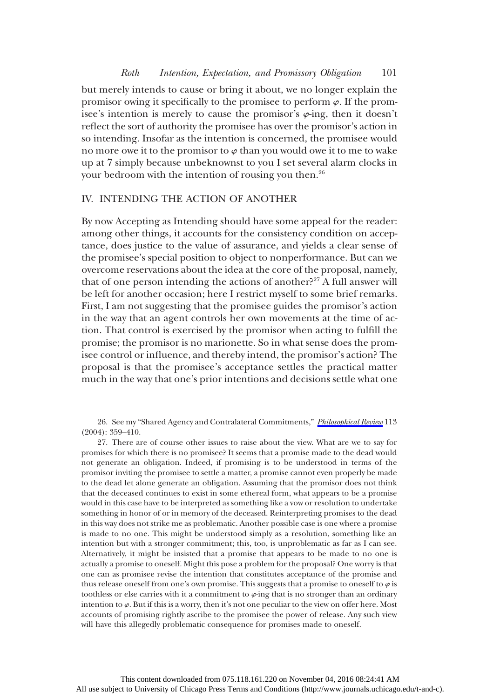#### Roth Intention, Expectation, and Promissory Obligation 101

but merely intends to cause or bring it about, we no longer explain the promisor owing it specifically to the promisee to perform  $\varphi$ . If the promisee's intention is merely to cause the promisor's  $\varphi$ -ing, then it doesn't reflect the sort of authority the promisee has over the promisor's action in so intending. Insofar as the intention is concerned, the promisee would no more owe it to the promisor to  $\varphi$  than you would owe it to me to wake up at 7 simply because unbeknownst to you I set several alarm clocks in your bedroom with the intention of rousing you then.<sup>26</sup>

## IV. INTENDING THE ACTION OF ANOTHER

By now Accepting as Intending should have some appeal for the reader: among other things, it accounts for the consistency condition on acceptance, does justice to the value of assurance, and yields a clear sense of the promisee's special position to object to nonperformance. But can we overcome reservations about the idea at the core of the proposal, namely, that of one person intending the actions of another?<sup>27</sup> A full answer will be left for another occasion; here I restrict myself to some brief remarks. First, I am not suggesting that the promisee guides the promisor's action in the way that an agent controls her own movements at the time of action. That control is exercised by the promisor when acting to fulfill the promise; the promisor is no marionette. So in what sense does the promisee control or influence, and thereby intend, the promisor's action? The proposal is that the promisee's acceptance settles the practical matter much in the way that one's prior intentions and decisions settle what one

26. See my "Shared Agency and Contralateral Commitments," [Philosophical Review](http://www.journals.uchicago.edu/action/showLinks?crossref=10.1215%2F00318108-113-3-359) 113 (2004): 359–410.

27. There are of course other issues to raise about the view. What are we to say for promises for which there is no promisee? It seems that a promise made to the dead would not generate an obligation. Indeed, if promising is to be understood in terms of the promisor inviting the promisee to settle a matter, a promise cannot even properly be made to the dead let alone generate an obligation. Assuming that the promisor does not think that the deceased continues to exist in some ethereal form, what appears to be a promise would in this case have to be interpreted as something like a vow or resolution to undertake something in honor of or in memory of the deceased. Reinterpreting promises to the dead in this way does not strike me as problematic. Another possible case is one where a promise is made to no one. This might be understood simply as a resolution, something like an intention but with a stronger commitment; this, too, is unproblematic as far as I can see. Alternatively, it might be insisted that a promise that appears to be made to no one is actually a promise to oneself. Might this pose a problem for the proposal? One worry is that one can as promisee revise the intention that constitutes acceptance of the promise and thus release oneself from one's own promise. This suggests that a promise to oneself to  $\varphi$  is toothless or else carries with it a commitment to  $\varphi$ -ing that is no stronger than an ordinary intention to  $\varphi$ . But if this is a worry, then it's not one peculiar to the view on offer here. Most accounts of promising rightly ascribe to the promisee the power of release. Any such view will have this allegedly problematic consequence for promises made to oneself.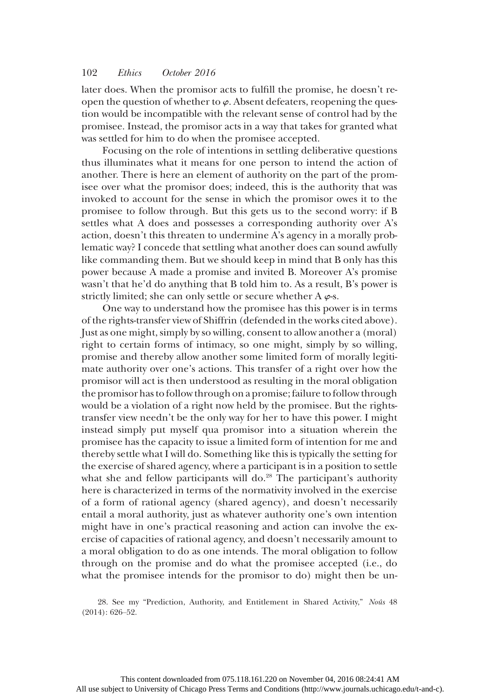later does. When the promisor acts to fulfill the promise, he doesn't reopen the question of whether to  $\varphi$ . Absent defeaters, reopening the question would be incompatible with the relevant sense of control had by the promisee. Instead, the promisor acts in a way that takes for granted what was settled for him to do when the promisee accepted.

Focusing on the role of intentions in settling deliberative questions thus illuminates what it means for one person to intend the action of another. There is here an element of authority on the part of the promisee over what the promisor does; indeed, this is the authority that was invoked to account for the sense in which the promisor owes it to the promisee to follow through. But this gets us to the second worry: if B settles what A does and possesses a corresponding authority over A's action, doesn't this threaten to undermine A's agency in a morally problematic way? I concede that settling what another does can sound awfully like commanding them. But we should keep in mind that B only has this power because A made a promise and invited B. Moreover A's promise wasn't that he'd do anything that B told him to. As a result, B's power is strictly limited; she can only settle or secure whether A  $\varphi$ -s.

One way to understand how the promisee has this power is in terms of the rights-transfer view of Shiffrin (defended in the works cited above). Just as one might, simply by so willing, consent to allow another a (moral) right to certain forms of intimacy, so one might, simply by so willing, promise and thereby allow another some limited form of morally legitimate authority over one's actions. This transfer of a right over how the promisor will act is then understood as resulting in the moral obligation the promisor has to follow through on a promise; failure to follow through would be a violation of a right now held by the promisee. But the rightstransfer view needn't be the only way for her to have this power. I might instead simply put myself qua promisor into a situation wherein the promisee has the capacity to issue a limited form of intention for me and thereby settle what I will do. Something like this is typically the setting for the exercise of shared agency, where a participant is in a position to settle what she and fellow participants will do.<sup>28</sup> The participant's authority here is characterized in terms of the normativity involved in the exercise of a form of rational agency (shared agency), and doesn't necessarily entail a moral authority, just as whatever authority one's own intention might have in one's practical reasoning and action can involve the exercise of capacities of rational agency, and doesn't necessarily amount to a moral obligation to do as one intends. The moral obligation to follow through on the promise and do what the promisee accepted (i.e., do what the promisee intends for the promisor to do) might then be un-

28. See my "Prediction, Authority, and Entitlement in Shared Activity," Noûs 48 (2014): 626–52.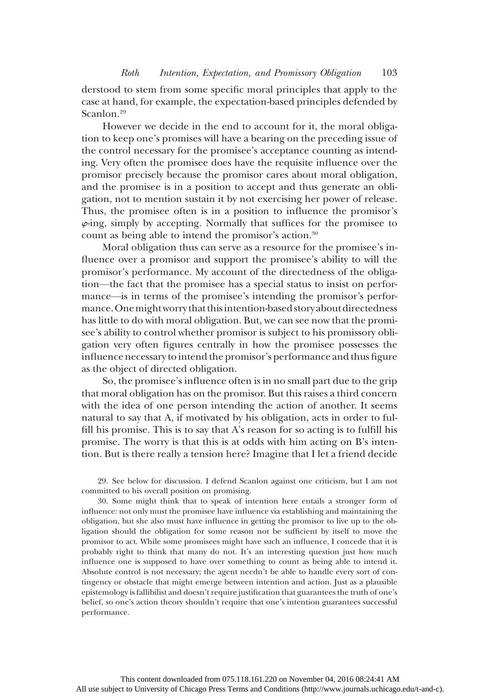derstood to stem from some specific moral principles that apply to the case at hand, for example, the expectation-based principles defended by Scanlon.<sup>29</sup>

However we decide in the end to account for it, the moral obligation to keep one's promises will have a bearing on the preceding issue of the control necessary for the promisee's acceptance counting as intending. Very often the promisee does have the requisite influence over the promisor precisely because the promisor cares about moral obligation, and the promisee is in a position to accept and thus generate an obligation, not to mention sustain it by not exercising her power of release. Thus, the promisee often is in a position to influence the promisor's  $\varphi$ -ing, simply by accepting. Normally that suffices for the promisee to count as being able to intend the promisor's action.30

Moral obligation thus can serve as a resource for the promisee's influence over a promisor and support the promisee's ability to will the promisor's performance. My account of the directedness of the obligation—the fact that the promisee has a special status to insist on performance—is in terms of the promisee's intending the promisor's performance.Onemightworry that thisintention-based story about directedness has little to do with moral obligation. But, we can see now that the promisee's ability to control whether promisor is subject to his promissory obligation very often figures centrally in how the promisee possesses the influence necessary to intend the promisor's performance and thus figure as the object of directed obligation.

So, the promisee's influence often is in no small part due to the grip that moral obligation has on the promisor. But this raises a third concern with the idea of one person intending the action of another. It seems natural to say that A, if motivated by his obligation, acts in order to fulfill his promise. This is to say that A's reason for so acting is to fulfill his promise. The worry is that this is at odds with him acting on B's intention. But is there really a tension here? Imagine that I let a friend decide

29. See below for discussion. I defend Scanlon against one criticism, but I am not committed to his overall position on promising.

30. Some might think that to speak of intention here entails a stronger form of influence: not only must the promisee have influence via establishing and maintaining the obligation, but she also must have influence in getting the promisor to live up to the obligation should the obligation for some reason not be sufficient by itself to move the promisor to act. While some promisees might have such an influence, I concede that it is probably right to think that many do not. It's an interesting question just how much influence one is supposed to have over something to count as being able to intend it. Absolute control is not necessary; the agent needn't be able to handle every sort of contingency or obstacle that might emerge between intention and action. Just as a plausible epistemology is fallibilist and doesn't require justification that guarantees the truth of one's belief, so one's action theory shouldn't require that one's intention guarantees successful performance.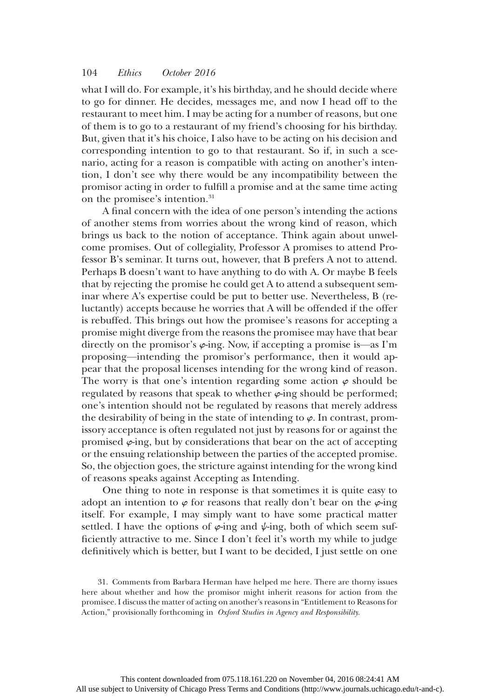what I will do. For example, it's his birthday, and he should decide where to go for dinner. He decides, messages me, and now I head off to the restaurant to meet him. I may be acting for a number of reasons, but one of them is to go to a restaurant of my friend's choosing for his birthday. But, given that it's his choice, I also have to be acting on his decision and corresponding intention to go to that restaurant. So if, in such a scenario, acting for a reason is compatible with acting on another's intention, I don't see why there would be any incompatibility between the promisor acting in order to fulfill a promise and at the same time acting on the promisee's intention.<sup>31</sup>

A final concern with the idea of one person's intending the actions of another stems from worries about the wrong kind of reason, which brings us back to the notion of acceptance. Think again about unwelcome promises. Out of collegiality, Professor A promises to attend Professor B's seminar. It turns out, however, that B prefers A not to attend. Perhaps B doesn't want to have anything to do with A. Or maybe B feels that by rejecting the promise he could get A to attend a subsequent seminar where A's expertise could be put to better use. Nevertheless, B (reluctantly) accepts because he worries that A will be offended if the offer is rebuffed. This brings out how the promisee's reasons for accepting a promise might diverge from the reasons the promisee may have that bear directly on the promisor's  $\varphi$ -ing. Now, if accepting a promise is—as I'm proposing—intending the promisor's performance, then it would appear that the proposal licenses intending for the wrong kind of reason. The worry is that one's intention regarding some action  $\varphi$  should be regulated by reasons that speak to whether  $\varphi$ -ing should be performed; one's intention should not be regulated by reasons that merely address the desirability of being in the state of intending to  $\varphi$ . In contrast, promissory acceptance is often regulated not just by reasons for or against the promised  $\varphi$ -ing, but by considerations that bear on the act of accepting or the ensuing relationship between the parties of the accepted promise. So, the objection goes, the stricture against intending for the wrong kind of reasons speaks against Accepting as Intending.

One thing to note in response is that sometimes it is quite easy to adopt an intention to  $\varphi$  for reasons that really don't bear on the  $\varphi$ -ing itself. For example, I may simply want to have some practical matter settled. I have the options of  $\varphi$ -ing and  $\psi$ -ing, both of which seem sufficiently attractive to me. Since I don't feel it's worth my while to judge definitively which is better, but I want to be decided, I just settle on one

<sup>31.</sup> Comments from Barbara Herman have helped me here. There are thorny issues here about whether and how the promisor might inherit reasons for action from the promisee. I discuss the matter of acting on another's reasons in "Entitlement to Reasons for Action," provisionally forthcoming in Oxford Studies in Agency and Responsibility.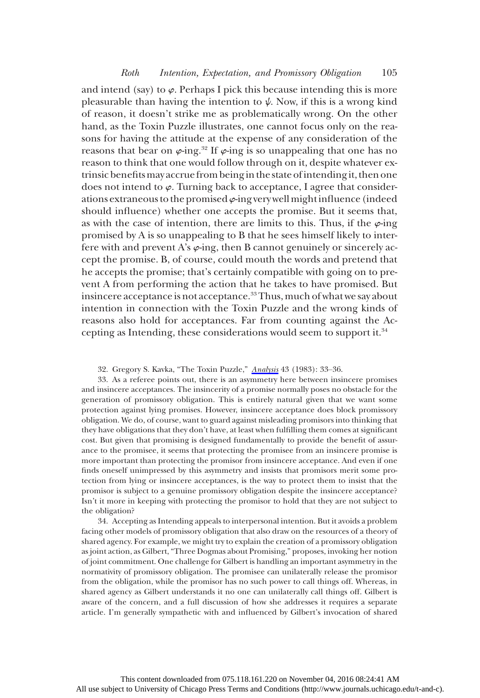and intend (say) to  $\varphi$ . Perhaps I pick this because intending this is more pleasurable than having the intention to  $\psi$ . Now, if this is a wrong kind of reason, it doesn't strike me as problematically wrong. On the other hand, as the Toxin Puzzle illustrates, one cannot focus only on the reasons for having the attitude at the expense of any consideration of the reasons that bear on  $\varphi$ -ing.<sup>32</sup> If  $\varphi$ -ing is so unappealing that one has no reason to think that one would follow through on it, despite whatever extrinsic benefitsmay accrue from beingin the state ofintendingit, then one does not intend to  $\varphi$ . Turning back to acceptance, I agree that considerations extraneous to the promised  $\varphi$ -ing very well might influence (indeed should influence) whether one accepts the promise. But it seems that, as with the case of intention, there are limits to this. Thus, if the  $\varphi$ -ing promised by A is so unappealing to B that he sees himself likely to interfere with and prevent A's  $\varphi$ -ing, then B cannot genuinely or sincerely accept the promise. B, of course, could mouth the words and pretend that he accepts the promise; that's certainly compatible with going on to prevent A from performing the action that he takes to have promised. But insincere acceptance is not acceptance.<sup>33</sup> Thus, much of what we say about intention in connection with the Toxin Puzzle and the wrong kinds of reasons also hold for acceptances. Far from counting against the Accepting as Intending, these considerations would seem to support it.34

32. Gregory S. Kavka, "The Toxin Puzzle," [Analysis](http://www.journals.uchicago.edu/action/showLinks?crossref=10.1093%2Fanalys%2F43.1.33) 43 (1983): 33–36.

33. As a referee points out, there is an asymmetry here between insincere promises and insincere acceptances. The insincerity of a promise normally poses no obstacle for the generation of promissory obligation. This is entirely natural given that we want some protection against lying promises. However, insincere acceptance does block promissory obligation. We do, of course, want to guard against misleading promisors into thinking that they have obligations that they don't have, at least when fulfilling them comes at significant cost. But given that promising is designed fundamentally to provide the benefit of assurance to the promisee, it seems that protecting the promisee from an insincere promise is more important than protecting the promisor from insincere acceptance. And even if one finds oneself unimpressed by this asymmetry and insists that promisors merit some protection from lying or insincere acceptances, is the way to protect them to insist that the promisor is subject to a genuine promissory obligation despite the insincere acceptance? Isn't it more in keeping with protecting the promisor to hold that they are not subject to the obligation?

34. Accepting as Intending appeals to interpersonal intention. But it avoids a problem facing other models of promissory obligation that also draw on the resources of a theory of shared agency. For example, we might try to explain the creation of a promissory obligation as joint action, as Gilbert, "Three Dogmas about Promising," proposes, invoking her notion of joint commitment. One challenge for Gilbert is handling an important asymmetry in the normativity of promissory obligation. The promisee can unilaterally release the promisor from the obligation, while the promisor has no such power to call things off. Whereas, in shared agency as Gilbert understands it no one can unilaterally call things off. Gilbert is aware of the concern, and a full discussion of how she addresses it requires a separate article. I'm generally sympathetic with and influenced by Gilbert's invocation of shared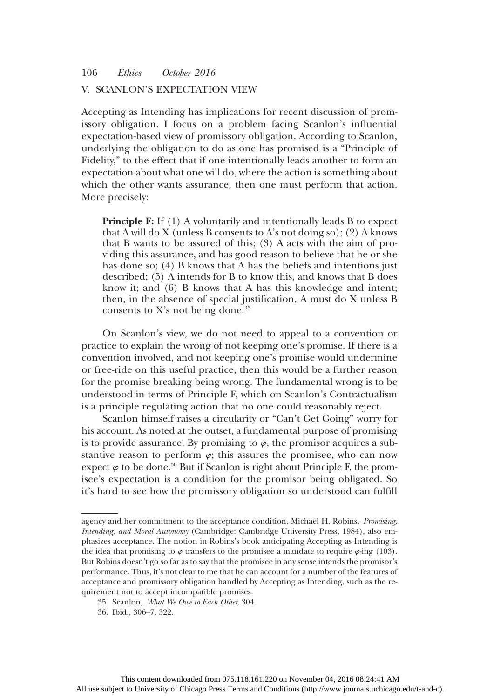## V. SCANLON'S EXPECTATION VIEW

Accepting as Intending has implications for recent discussion of promissory obligation. I focus on a problem facing Scanlon's influential expectation-based view of promissory obligation. According to Scanlon, underlying the obligation to do as one has promised is a "Principle of Fidelity," to the effect that if one intentionally leads another to form an expectation about what one will do, where the action is something about which the other wants assurance, then one must perform that action. More precisely:

**Principle F:** If (1) A voluntarily and intentionally leads B to expect that A will do X (unless B consents to A's not doing so); (2) A knows that B wants to be assured of this; (3) A acts with the aim of providing this assurance, and has good reason to believe that he or she has done so; (4) B knows that A has the beliefs and intentions just described; (5) A intends for B to know this, and knows that B does know it; and (6) B knows that A has this knowledge and intent; then, in the absence of special justification, A must do X unless B consents to X's not being done. $35$ 

On Scanlon's view, we do not need to appeal to a convention or practice to explain the wrong of not keeping one's promise. If there is a convention involved, and not keeping one's promise would undermine or free-ride on this useful practice, then this would be a further reason for the promise breaking being wrong. The fundamental wrong is to be understood in terms of Principle F, which on Scanlon's Contractualism is a principle regulating action that no one could reasonably reject.

Scanlon himself raises a circularity or "Can't Get Going" worry for his account. As noted at the outset, a fundamental purpose of promising is to provide assurance. By promising to  $\varphi$ , the promisor acquires a substantive reason to perform  $\varphi$ ; this assures the promisee, who can now expect  $\varphi$  to be done.<sup>36</sup> But if Scanlon is right about Principle F, the promisee's expectation is a condition for the promisor being obligated. So it's hard to see how the promissory obligation so understood can fulfill

agency and her commitment to the acceptance condition. Michael H. Robins, Promising, Intending, and Moral Autonomy (Cambridge: Cambridge University Press, 1984), also emphasizes acceptance. The notion in Robins's book anticipating Accepting as Intending is the idea that promising to  $\varphi$  transfers to the promisee a mandate to require  $\varphi$ -ing (103). But Robins doesn't go so far as to say that the promisee in any sense intends the promisor's performance. Thus, it's not clear to me that he can account for a number of the features of acceptance and promissory obligation handled by Accepting as Intending, such as the requirement not to accept incompatible promises.

<sup>35.</sup> Scanlon, What We Owe to Each Other, 304.

<sup>36.</sup> Ibid., 306–7, 322.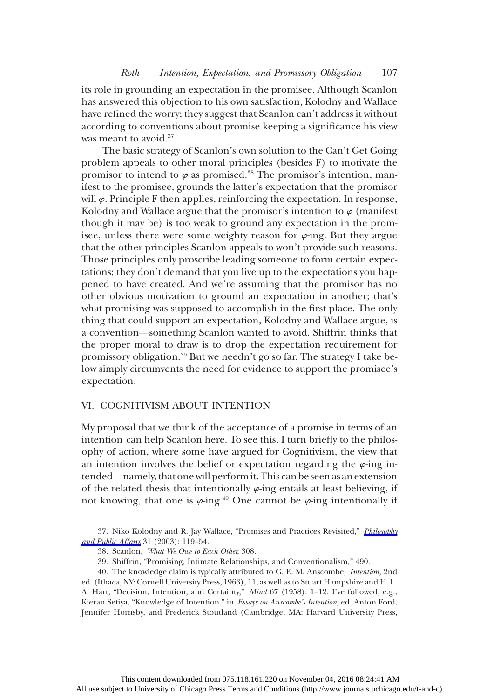its role in grounding an expectation in the promisee. Although Scanlon has answered this objection to his own satisfaction, Kolodny and Wallace have refined the worry; they suggest that Scanlon can't address it without according to conventions about promise keeping a significance his view was meant to avoid.<sup>37</sup>

The basic strategy of Scanlon's own solution to the Can't Get Going problem appeals to other moral principles (besides F) to motivate the promisor to intend to  $\varphi$  as promised.<sup>38</sup> The promisor's intention, manifest to the promisee, grounds the latter's expectation that the promisor will  $\varphi$ . Principle F then applies, reinforcing the expectation. In response, Kolodny and Wallace argue that the promisor's intention to  $\varphi$  (manifest though it may be) is too weak to ground any expectation in the promisee, unless there were some weighty reason for  $\varphi$ -ing. But they argue that the other principles Scanlon appeals to won't provide such reasons. Those principles only proscribe leading someone to form certain expectations; they don't demand that you live up to the expectations you happened to have created. And we're assuming that the promisor has no other obvious motivation to ground an expectation in another; that's what promising was supposed to accomplish in the first place. The only thing that could support an expectation, Kolodny and Wallace argue, is a convention—something Scanlon wanted to avoid. Shiffrin thinks that the proper moral to draw is to drop the expectation requirement for promissory obligation.39 But we needn't go so far. The strategy I take below simply circumvents the need for evidence to support the promisee's expectation.

## VI. COGNITIVISM ABOUT INTENTION

My proposal that we think of the acceptance of a promise in terms of an intention can help Scanlon here. To see this, I turn briefly to the philosophy of action, where some have argued for Cognitivism, the view that an intention involves the belief or expectation regarding the  $\varphi$ -ing intended—namely, that one will perform it. This can be seen as an extension of the related thesis that intentionally  $\varphi$ -ing entails at least believing, if not knowing, that one is  $\varphi$ -ing.<sup>40</sup> One cannot be  $\varphi$ -ing intentionally if

37. Niko Kolodny and R. Jay Wallace, "Promises and Practices Revisited," *[Philosophy](http://www.journals.uchicago.edu/action/showLinks?crossref=10.1111%2Fj.1088-4963.2003.00119.x)* [and Public Affairs](http://www.journals.uchicago.edu/action/showLinks?crossref=10.1111%2Fj.1088-4963.2003.00119.x) 31 (2003): 119–54.

38. Scanlon, What We Owe to Each Other, 308.

39. Shiffrin, "Promising, Intimate Relationships, and Conventionalism," 490.

40. The knowledge claim is typically attributed to G. E. M. Anscombe, Intention, 2nd ed. (Ithaca, NY: Cornell University Press, 1963), 11, as well as to Stuart Hampshire and H. L. A. Hart, "Decision, Intention, and Certainty," Mind 67 (1958): 1-12. I've followed, e.g., Kieran Setiya, "Knowledge of Intention," in Essays on Anscombe's Intention, ed. Anton Ford, Jennifer Hornsby, and Frederick Stoutland (Cambridge, MA: Harvard University Press,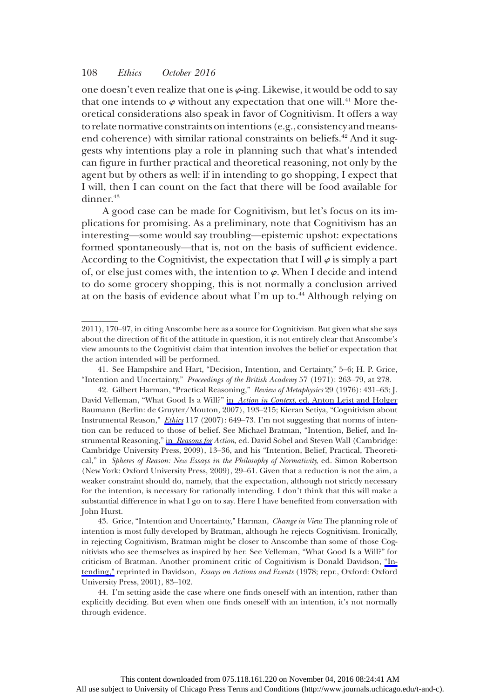one doesn't even realize that one is  $\varphi$ -ing. Likewise, it would be odd to say that one intends to  $\varphi$  without any expectation that one will.<sup>41</sup> More theoretical considerations also speak in favor of Cognitivism. It offers a way to relate normative constraints onintentions (e.g., consistency andmeansend coherence) with similar rational constraints on beliefs.<sup>42</sup> And it suggests why intentions play a role in planning such that what's intended can figure in further practical and theoretical reasoning, not only by the agent but by others as well: if in intending to go shopping, I expect that I will, then I can count on the fact that there will be food available for dinner.<sup>43</sup>

A good case can be made for Cognitivism, but let's focus on its implications for promising. As a preliminary, note that Cognitivism has an interesting—some would say troubling—epistemic upshot: expectations formed spontaneously—that is, not on the basis of sufficient evidence. According to the Cognitivist, the expectation that I will  $\varphi$  is simply a part of, or else just comes with, the intention to  $\varphi$ . When I decide and intend to do some grocery shopping, this is not normally a conclusion arrived at on the basis of evidence about what I'm up to.<sup>44</sup> Although relying on

<sup>2011), 170</sup>–97, in citing Anscombe here as a source for Cognitivism. But given what she says about the direction of fit of the attitude in question, it is not entirely clear that Anscombe's view amounts to the Cognitivist claim that intention involves the belief or expectation that the action intended will be performed.

<sup>41.</sup> See Hampshire and Hart, "Decision, Intention, and Certainty," 5–6; H. P. Grice, "Intention and Uncertainty," Proceedings of the British Academy 57 (1971): 263–79, at 278.

<sup>42.</sup> Gilbert Harman, "Practical Reasoning," Review of Metaphysics 29 (1976): 431–63; J. David Velleman, "What Good Is a Will?" in Action in Context[, ed. Anton Leist and Holger](http://www.journals.uchicago.edu/action/showLinks?crossref=10.1515%2F9783110898798.193) Baumann (Berlin: de Gruyter/Mouton, 2007), 193–215; Kieran Setiya, "Cognitivism about Instrumental Reason," *[Ethics](http://www.journals.uchicago.edu/action/showLinks?system=10.1086%2F518954)* 117 (2007): 649–73. I'm not suggesting that norms of intention can be reduced to those of belief. See Michael Bratman, "Intention, Belief, and In-strumental Reasoning," in [Reasons for](http://www.journals.uchicago.edu/action/showLinks?crossref=10.1017%2FCBO9780511720185.002) Action, ed. David Sobel and Steven Wall (Cambridge: Cambridge University Press, 2009), 13–36, and his "Intention, Belief, Practical, Theoretical," in Spheres of Reason: New Essays in the Philosophy of Normativity, ed. Simon Robertson (New York: Oxford University Press, 2009), 29–61. Given that a reduction is not the aim, a weaker constraint should do, namely, that the expectation, although not strictly necessary for the intention, is necessary for rationally intending. I don't think that this will make a substantial difference in what I go on to say. Here I have benefited from conversation with John Hurst.

<sup>43.</sup> Grice, "Intention and Uncertainty," Harman, Change in View. The planning role of intention is most fully developed by Bratman, although he rejects Cognitivism. Ironically, in rejecting Cognitivism, Bratman might be closer to Anscombe than some of those Cognitivists who see themselves as inspired by her. See Velleman, "What Good Is a Will?" for criticism of Bratman. Another prominent critic of Cognitivism is Donald Davidson, ["In](http://www.journals.uchicago.edu/action/showLinks?crossref=10.1007%2F978-94-009-9365-5_5)[tending,"](http://www.journals.uchicago.edu/action/showLinks?crossref=10.1007%2F978-94-009-9365-5_5) reprinted in Davidson, Essays on Actions and Events (1978; repr., Oxford: Oxford University Press, 2001), 83–102.

<sup>44.</sup> I'm setting aside the case where one finds oneself with an intention, rather than explicitly deciding. But even when one finds oneself with an intention, it's not normally through evidence.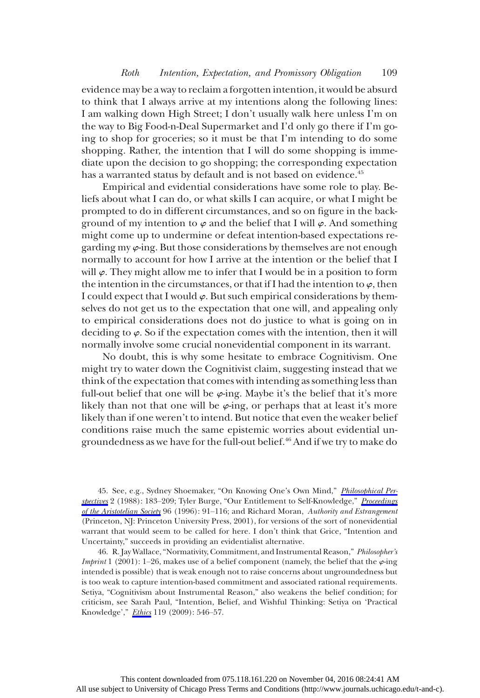evidence may be a way to reclaim a forgotten intention, it would be absurd to think that I always arrive at my intentions along the following lines: I am walking down High Street; I don't usually walk here unless I'm on the way to Big Food-n-Deal Supermarket and I'd only go there if I'm going to shop for groceries; so it must be that I'm intending to do some shopping. Rather, the intention that I will do some shopping is immediate upon the decision to go shopping; the corresponding expectation has a warranted status by default and is not based on evidence.<sup>45</sup>

Empirical and evidential considerations have some role to play. Beliefs about what I can do, or what skills I can acquire, or what I might be prompted to do in different circumstances, and so on figure in the background of my intention to  $\varphi$  and the belief that I will  $\varphi$ . And something might come up to undermine or defeat intention-based expectations regarding my  $\varphi$ -ing. But those considerations by themselves are not enough normally to account for how I arrive at the intention or the belief that I will  $\varphi$ . They might allow me to infer that I would be in a position to form the intention in the circumstances, or that if I had the intention to  $\varphi$ , then I could expect that I would  $\varphi$ . But such empirical considerations by themselves do not get us to the expectation that one will, and appealing only to empirical considerations does not do justice to what is going on in deciding to  $\varphi$ . So if the expectation comes with the intention, then it will normally involve some crucial nonevidential component in its warrant.

No doubt, this is why some hesitate to embrace Cognitivism. One might try to water down the Cognitivist claim, suggesting instead that we think of the expectation that comes with intending as something less than full-out belief that one will be  $\varphi$ -ing. Maybe it's the belief that it's more likely than not that one will be  $\varphi$ -ing, or perhaps that at least it's more likely than if one weren't to intend. But notice that even the weaker belief conditions raise much the same epistemic worries about evidential ungroundedness as we have for the full-out belief.46 And if we try to make do

45. See, e.g., Sydney Shoemaker, "On Knowing One's Own Mind," [Philosophical Per](http://www.journals.uchicago.edu/action/showLinks?crossref=10.2307%2F2214074)[spectives](http://www.journals.uchicago.edu/action/showLinks?crossref=10.2307%2F2214074) 2 (1988): 183-209; Tyler Burge, "Our Entitlement to Self-Knowledge," [Proceedings](http://www.journals.uchicago.edu/action/showLinks?crossref=10.1093%2Faristotelian%2F96.1.91) [of the Aristotelian Society](http://www.journals.uchicago.edu/action/showLinks?crossref=10.1093%2Faristotelian%2F96.1.91) 96 (1996): 91–116; and Richard Moran, Authority and Estrangement (Princeton, NJ: Princeton University Press, 2001), for versions of the sort of nonevidential warrant that would seem to be called for here. I don't think that Grice, "Intention and Uncertainty," succeeds in providing an evidentialist alternative.

46. R. Jay Wallace, "Normativity, Commitment, and Instrumental Reason," Philosopher's *Imprint* 1 (2001): 1–26, makes use of a belief component (namely, the belief that the  $\varphi$ -ing intended is possible) that is weak enough not to raise concerns about ungroundedness but is too weak to capture intention-based commitment and associated rational requirements. Setiya, "Cognitivism about Instrumental Reason," also weakens the belief condition; for criticism, see Sarah Paul, "Intention, Belief, and Wishful Thinking: Setiya on 'Practical Knowledge'," [Ethics](http://www.journals.uchicago.edu/action/showLinks?system=10.1086%2F599312) 119 (2009): 546–57.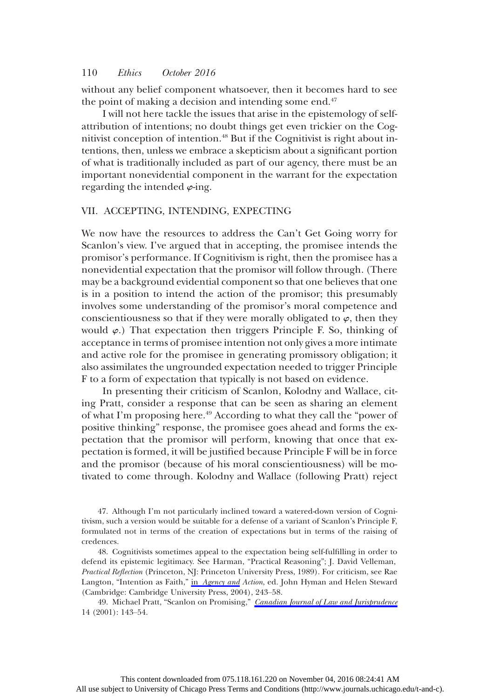without any belief component whatsoever, then it becomes hard to see the point of making a decision and intending some end.<sup>47</sup>

I will not here tackle the issues that arise in the epistemology of selfattribution of intentions; no doubt things get even trickier on the Cognitivist conception of intention.48 But if the Cognitivist is right about intentions, then, unless we embrace a skepticism about a significant portion of what is traditionally included as part of our agency, there must be an important nonevidential component in the warrant for the expectation regarding the intended  $\varphi$ -ing.

## VII. ACCEPTING, INTENDING, EXPECTING

We now have the resources to address the Can't Get Going worry for Scanlon's view. I've argued that in accepting, the promisee intends the promisor's performance. If Cognitivism is right, then the promisee has a nonevidential expectation that the promisor will follow through. (There may be a background evidential component so that one believes that one is in a position to intend the action of the promisor; this presumably involves some understanding of the promisor's moral competence and conscientiousness so that if they were morally obligated to  $\varphi$ , then they would  $\varphi$ .) That expectation then triggers Principle F. So, thinking of acceptance in terms of promisee intention not only gives a more intimate and active role for the promisee in generating promissory obligation; it also assimilates the ungrounded expectation needed to trigger Principle F to a form of expectation that typically is not based on evidence.

In presenting their criticism of Scanlon, Kolodny and Wallace, citing Pratt, consider a response that can be seen as sharing an element of what I'm proposing here.<sup>49</sup> According to what they call the "power of positive thinking" response, the promisee goes ahead and forms the expectation that the promisor will perform, knowing that once that expectation is formed, it will be justified because Principle F will be in force and the promisor (because of his moral conscientiousness) will be motivated to come through. Kolodny and Wallace (following Pratt) reject

47. Although I'm not particularly inclined toward a watered-down version of Cognitivism, such a version would be suitable for a defense of a variant of Scanlon's Principle F, formulated not in terms of the creation of expectations but in terms of the raising of credences.

48. Cognitivists sometimes appeal to the expectation being self-fulfilling in order to defend its epistemic legitimacy. See Harman, "Practical Reasoning"; J. David Velleman, Practical Reflection (Princeton, NJ: Princeton University Press, 1989). For criticism, see Rae Langton, "Intention as Faith," in [Agency and](http://www.journals.uchicago.edu/action/showLinks?crossref=10.1017%2FCBO9780511550843.011) Action, ed. John Hyman and Helen Steward (Cambridge: Cambridge University Press, 2004), 243–58.

49. Michael Pratt, "Scanlon on Promising," [Canadian Journal of Law and Jurisprudence](http://www.journals.uchicago.edu/action/showLinks?crossref=10.1017%2FS084182090000240X) 14 (2001): 143–54.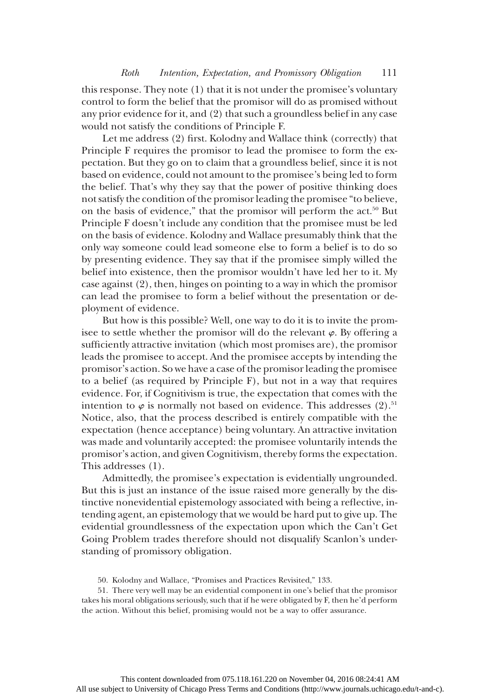this response. They note (1) that it is not under the promisee's voluntary control to form the belief that the promisor will do as promised without any prior evidence for it, and (2) that such a groundless belief in any case would not satisfy the conditions of Principle F.

Let me address (2) first. Kolodny and Wallace think (correctly) that Principle F requires the promisor to lead the promisee to form the expectation. But they go on to claim that a groundless belief, since it is not based on evidence, could not amount to the promisee's being led to form the belief. That's why they say that the power of positive thinking does not satisfy the condition of the promisor leading the promisee "to believe, on the basis of evidence," that the promisor will perform the act.<sup>50</sup> But Principle F doesn't include any condition that the promisee must be led on the basis of evidence. Kolodny and Wallace presumably think that the only way someone could lead someone else to form a belief is to do so by presenting evidence. They say that if the promisee simply willed the belief into existence, then the promisor wouldn't have led her to it. My case against (2), then, hinges on pointing to a way in which the promisor can lead the promisee to form a belief without the presentation or deployment of evidence.

But how is this possible? Well, one way to do it is to invite the promisee to settle whether the promisor will do the relevant  $\varphi$ . By offering a sufficiently attractive invitation (which most promises are), the promisor leads the promisee to accept. And the promisee accepts by intending the promisor's action. So we have a case of the promisor leading the promisee to a belief (as required by Principle F), but not in a way that requires evidence. For, if Cognitivism is true, the expectation that comes with the intention to  $\varphi$  is normally not based on evidence. This addresses (2).<sup>51</sup> Notice, also, that the process described is entirely compatible with the expectation (hence acceptance) being voluntary. An attractive invitation was made and voluntarily accepted: the promisee voluntarily intends the promisor's action, and given Cognitivism, thereby forms the expectation. This addresses (1).

Admittedly, the promisee's expectation is evidentially ungrounded. But this is just an instance of the issue raised more generally by the distinctive nonevidential epistemology associated with being a reflective, intending agent, an epistemology that we would be hard put to give up. The evidential groundlessness of the expectation upon which the Can't Get Going Problem trades therefore should not disqualify Scanlon's understanding of promissory obligation.

<sup>50.</sup> Kolodny and Wallace, "Promises and Practices Revisited," 133.

<sup>51.</sup> There very well may be an evidential component in one's belief that the promisor takes his moral obligations seriously, such that if he were obligated by F, then he'd perform the action. Without this belief, promising would not be a way to offer assurance.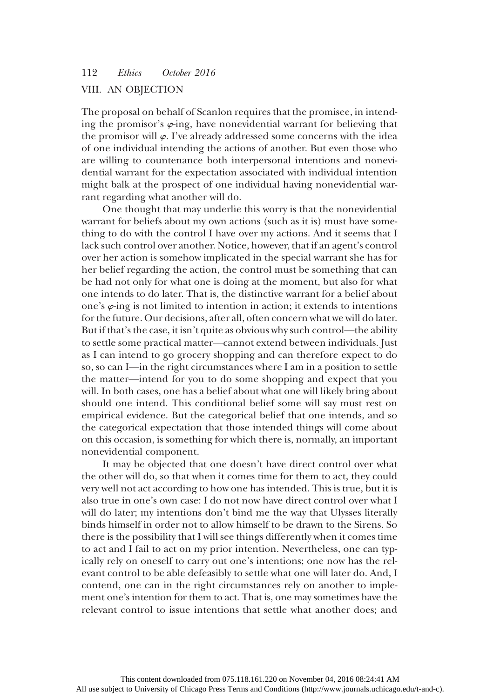## VIII. AN OBJECTION

The proposal on behalf of Scanlon requires that the promisee, in intending the promisor's  $\varphi$ -ing, have nonevidential warrant for believing that the promisor will  $\varphi$ . I've already addressed some concerns with the idea of one individual intending the actions of another. But even those who are willing to countenance both interpersonal intentions and nonevidential warrant for the expectation associated with individual intention might balk at the prospect of one individual having nonevidential warrant regarding what another will do.

One thought that may underlie this worry is that the nonevidential warrant for beliefs about my own actions (such as it is) must have something to do with the control I have over my actions. And it seems that I lack such control over another. Notice, however, that if an agent's control over her action is somehow implicated in the special warrant she has for her belief regarding the action, the control must be something that can be had not only for what one is doing at the moment, but also for what one intends to do later. That is, the distinctive warrant for a belief about one's  $\varphi$ -ing is not limited to intention in action; it extends to intentions for the future. Our decisions, after all, often concern what we will do later. But if that's the case, it isn't quite as obvious why such control—the ability to settle some practical matter—cannot extend between individuals. Just as I can intend to go grocery shopping and can therefore expect to do so, so can I—in the right circumstances where I am in a position to settle the matter—intend for you to do some shopping and expect that you will. In both cases, one has a belief about what one will likely bring about should one intend. This conditional belief some will say must rest on empirical evidence. But the categorical belief that one intends, and so the categorical expectation that those intended things will come about on this occasion, is something for which there is, normally, an important nonevidential component.

It may be objected that one doesn't have direct control over what the other will do, so that when it comes time for them to act, they could very well not act according to how one has intended. This is true, but it is also true in one's own case: I do not now have direct control over what I will do later; my intentions don't bind me the way that Ulysses literally binds himself in order not to allow himself to be drawn to the Sirens. So there is the possibility that I will see things differently when it comes time to act and I fail to act on my prior intention. Nevertheless, one can typically rely on oneself to carry out one's intentions; one now has the relevant control to be able defeasibly to settle what one will later do. And, I contend, one can in the right circumstances rely on another to implement one's intention for them to act. That is, one may sometimes have the relevant control to issue intentions that settle what another does; and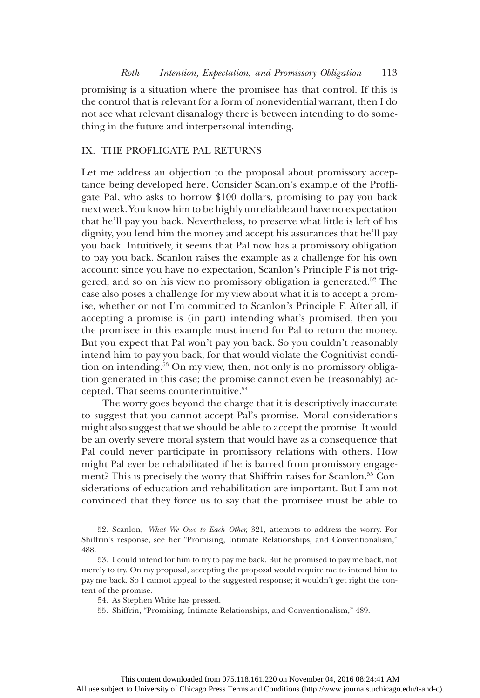promising is a situation where the promisee has that control. If this is the control that is relevant for a form of nonevidential warrant, then I do not see what relevant disanalogy there is between intending to do something in the future and interpersonal intending.

## IX. THE PROFLIGATE PAL RETURNS

Let me address an objection to the proposal about promissory acceptance being developed here. Consider Scanlon's example of the Profligate Pal, who asks to borrow \$100 dollars, promising to pay you back next week. You know him to be highly unreliable and have no expectation that he'll pay you back. Nevertheless, to preserve what little is left of his dignity, you lend him the money and accept his assurances that he'll pay you back. Intuitively, it seems that Pal now has a promissory obligation to pay you back. Scanlon raises the example as a challenge for his own account: since you have no expectation, Scanlon's Principle F is not triggered, and so on his view no promissory obligation is generated.<sup>52</sup> The case also poses a challenge for my view about what it is to accept a promise, whether or not I'm committed to Scanlon's Principle F. After all, if accepting a promise is (in part) intending what's promised, then you the promisee in this example must intend for Pal to return the money. But you expect that Pal won't pay you back. So you couldn't reasonably intend him to pay you back, for that would violate the Cognitivist condition on intending.53 On my view, then, not only is no promissory obligation generated in this case; the promise cannot even be (reasonably) accepted. That seems counterintuitive.<sup>54</sup>

The worry goes beyond the charge that it is descriptively inaccurate to suggest that you cannot accept Pal's promise. Moral considerations might also suggest that we should be able to accept the promise. It would be an overly severe moral system that would have as a consequence that Pal could never participate in promissory relations with others. How might Pal ever be rehabilitated if he is barred from promissory engagement? This is precisely the worry that Shiffrin raises for Scanlon.<sup>55</sup> Considerations of education and rehabilitation are important. But I am not convinced that they force us to say that the promisee must be able to

<sup>52.</sup> Scanlon, What We Owe to Each Other, 321, attempts to address the worry. For Shiffrin's response, see her "Promising, Intimate Relationships, and Conventionalism," 488.

<sup>53.</sup> I could intend for him to try to pay me back. But he promised to pay me back, not merely to try. On my proposal, accepting the proposal would require me to intend him to pay me back. So I cannot appeal to the suggested response; it wouldn't get right the content of the promise.

<sup>54.</sup> As Stephen White has pressed.

<sup>55.</sup> Shiffrin, "Promising, Intimate Relationships, and Conventionalism," 489.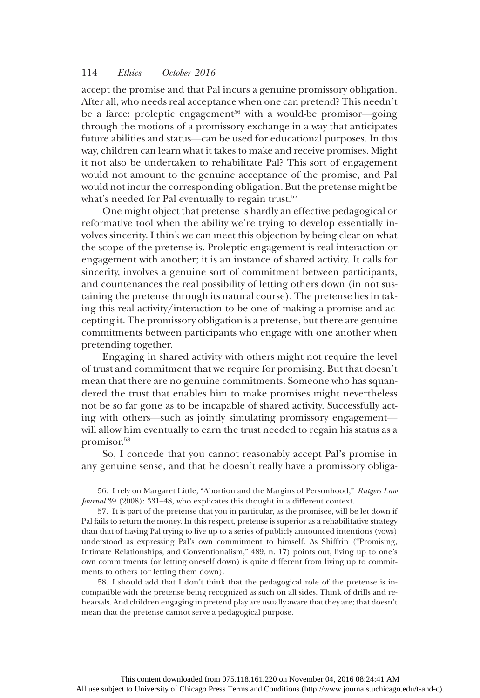accept the promise and that Pal incurs a genuine promissory obligation. After all, who needs real acceptance when one can pretend? This needn't be a farce: proleptic engagement<sup>56</sup> with a would-be promisor-going through the motions of a promissory exchange in a way that anticipates future abilities and status—can be used for educational purposes. In this way, children can learn what it takes to make and receive promises. Might it not also be undertaken to rehabilitate Pal? This sort of engagement would not amount to the genuine acceptance of the promise, and Pal would not incur the corresponding obligation. But the pretense might be what's needed for Pal eventually to regain trust.<sup>57</sup>

One might object that pretense is hardly an effective pedagogical or reformative tool when the ability we're trying to develop essentially involves sincerity. I think we can meet this objection by being clear on what the scope of the pretense is. Proleptic engagement is real interaction or engagement with another; it is an instance of shared activity. It calls for sincerity, involves a genuine sort of commitment between participants, and countenances the real possibility of letting others down (in not sustaining the pretense through its natural course). The pretense lies in taking this real activity/interaction to be one of making a promise and accepting it. The promissory obligation is a pretense, but there are genuine commitments between participants who engage with one another when pretending together.

Engaging in shared activity with others might not require the level of trust and commitment that we require for promising. But that doesn't mean that there are no genuine commitments. Someone who has squandered the trust that enables him to make promises might nevertheless not be so far gone as to be incapable of shared activity. Successfully acting with others—such as jointly simulating promissory engagement will allow him eventually to earn the trust needed to regain his status as a promisor.58

So, I concede that you cannot reasonably accept Pal's promise in any genuine sense, and that he doesn't really have a promissory obliga-

56. I rely on Margaret Little, "Abortion and the Margins of Personhood," Rutgers Law Journal 39 (2008): 331–48, who explicates this thought in a different context.

57. It is part of the pretense that you in particular, as the promisee, will be let down if Pal fails to return the money. In this respect, pretense is superior as a rehabilitative strategy than that of having Pal trying to live up to a series of publicly announced intentions (vows) understood as expressing Pal's own commitment to himself. As Shiffrin ("Promising, Intimate Relationships, and Conventionalism," 489, n. 17) points out, living up to one's own commitments (or letting oneself down) is quite different from living up to commitments to others (or letting them down).

58. I should add that I don't think that the pedagogical role of the pretense is incompatible with the pretense being recognized as such on all sides. Think of drills and rehearsals. And children engaging in pretend play are usually aware that they are; that doesn't mean that the pretense cannot serve a pedagogical purpose.